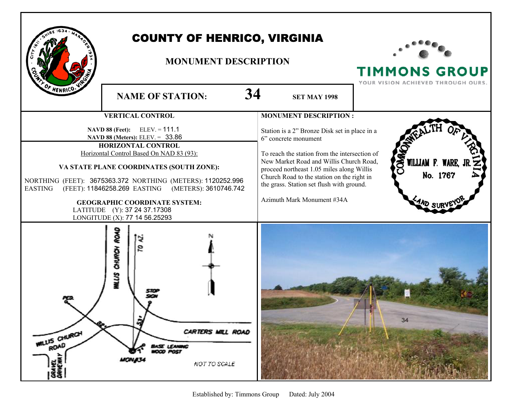